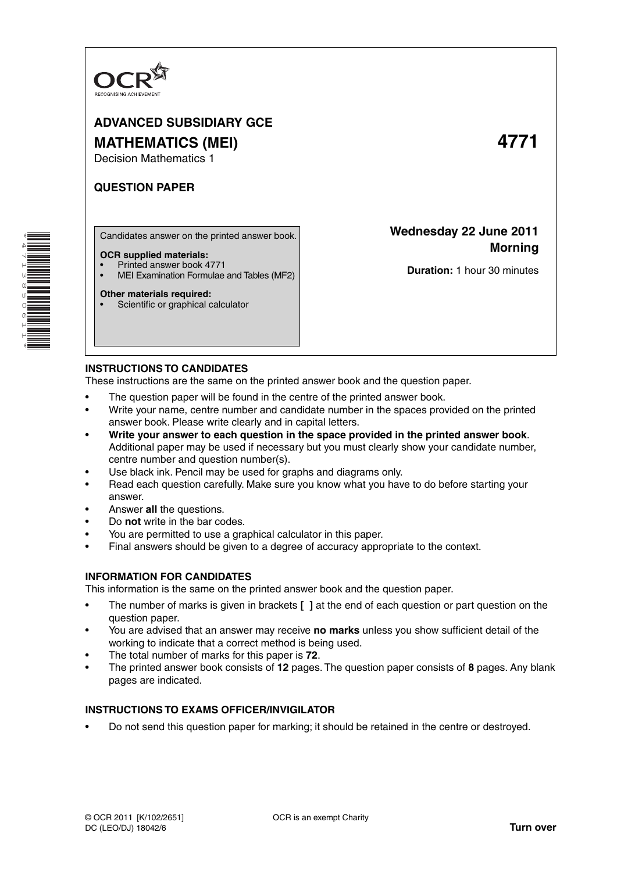

# **ADVANCED SUBSIDIARY GCE MATHEMATICS (MEI) 4771**

Decision Mathematics 1

## **QUESTION PAPER**



Candidates answer on the printed answer book.

#### **OCR supplied materials:**

- Printed answer book 4771
- MEI Examination Formulae and Tables (MF2)

#### **Other materials required:**

Scientific or graphical calculator

**Wednesday 22 June 2011 Morning**

**Duration:** 1 hour 30 minutes

### **INSTRUCTIONS TO CANDIDATES**

These instructions are the same on the printed answer book and the question paper.

- The question paper will be found in the centre of the printed answer book.
- Write your name, centre number and candidate number in the spaces provided on the printed answer book. Please write clearly and in capital letters.
- **Write your answer to each question in the space provided in the printed answer book**. Additional paper may be used if necessary but you must clearly show your candidate number, centre number and question number(s).
- Use black ink. Pencil may be used for graphs and diagrams only.
- Read each question carefully. Make sure you know what you have to do before starting your answer.
- Answer **all** the questions.
- Do **not** write in the bar codes.
- You are permitted to use a graphical calculator in this paper.
- Final answers should be given to a degree of accuracy appropriate to the context.

#### **INFORMATION FOR CANDIDATES**

This information is the same on the printed answer book and the question paper.

- The number of marks is given in brackets **[ ]** at the end of each question or part question on the question paper.
- You are advised that an answer may receive **no marks** unless you show sufficient detail of the working to indicate that a correct method is being used.
- The total number of marks for this paper is **72**.
- The printed answer book consists of **12** pages. The question paper consists of **8** pages. Any blank pages are indicated.

#### **INSTRUCTIONS TO EXAMS OFFICER/INVIGILATOR**

• Do not send this question paper for marking; it should be retained in the centre or destroyed.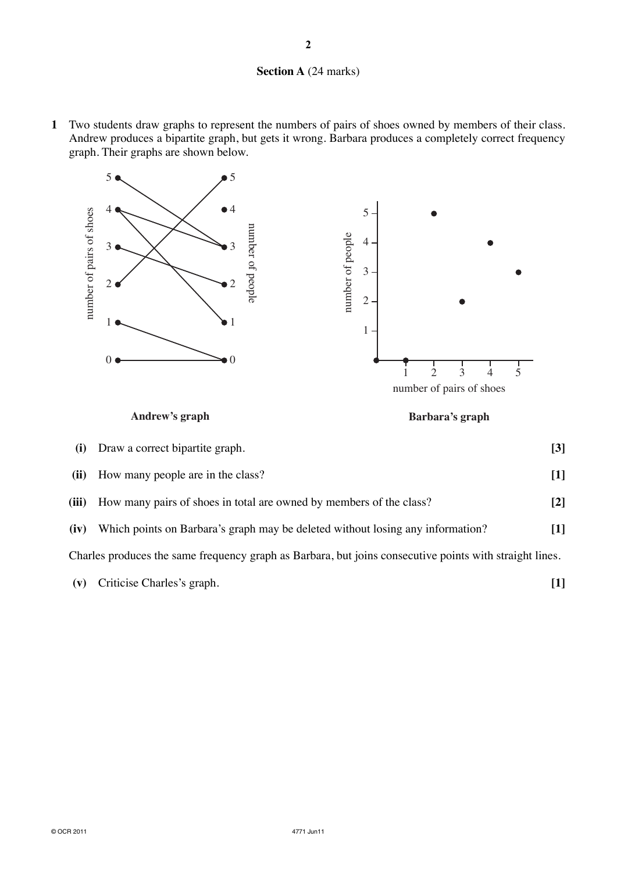#### **Section A** (24 marks)

**1** Two students draw graphs to represent the numbers of pairs of shoes owned by members of their class. Andrew produces a bipartite graph, but gets it wrong. Barbara produces a completely correct frequency graph. Their graphs are shown below.



Charles produces the same frequency graph as Barbara, but joins consecutive points with straight lines.

 **(v)** Criticise Charles's graph. **[1]**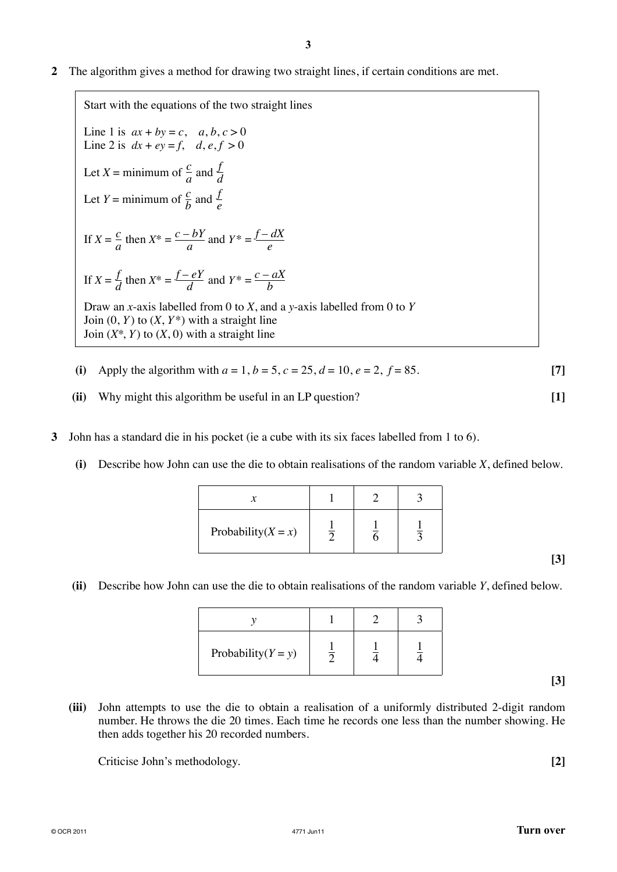**3**

Start with the equations of the two straight lines Line 1 is  $ax + by = c$ ,  $a, b, c > 0$ Line 2 is  $dx + ey = f$ ,  $d, e, f > 0$ Let *X* = minimum of  $\frac{c}{a}$  and  $\frac{f}{d}$ Let *Y* = minimum of  $\frac{c}{b}$  and  $\frac{f}{e}$ If  $X = \frac{c}{a}$  then  $X^* = \frac{c - bY}{a}$  and  $Y^* = \frac{f - dX}{e}$ If  $X = \frac{f}{d}$  then  $X^* = \frac{f - eY}{d}$  and  $Y^* = \frac{c - aX}{b}$ Draw an *x*-axis labelled from 0 to *X*, and a *y*-axis labelled from 0 to *Y* Join  $(0, Y)$  to  $(X, Y^*)$  with a straight line Join  $(X^*, Y)$  to  $(X, 0)$  with a straight line

- **(i)** Apply the algorithm with  $a = 1$ ,  $b = 5$ ,  $c = 25$ ,  $d = 10$ ,  $e = 2$ ,  $f = 85$ . [7]
- **(ii)** Why might this algorithm be useful in an LP question? **[1]**
- **3** John has a standard die in his pocket (ie a cube with its six faces labelled from 1 to 6).
	- **(i)** Describe how John can use the die to obtain realisations of the random variable *X*, defined below.

| Probability( $X = x$ ) |  |  |
|------------------------|--|--|

 **(ii)** Describe how John can use the die to obtain realisations of the random variable *Y*, defined below.

| Probability( $Y = y$ ) |  |  |
|------------------------|--|--|

 **(iii)** John attempts to use the die to obtain a realisation of a uniformly distributed 2-digit random number. He throws the die 20 times. Each time he records one less than the number showing. He then adds together his 20 recorded numbers.

Criticise John's methodology. **[2]**

**[3]**

**[3]**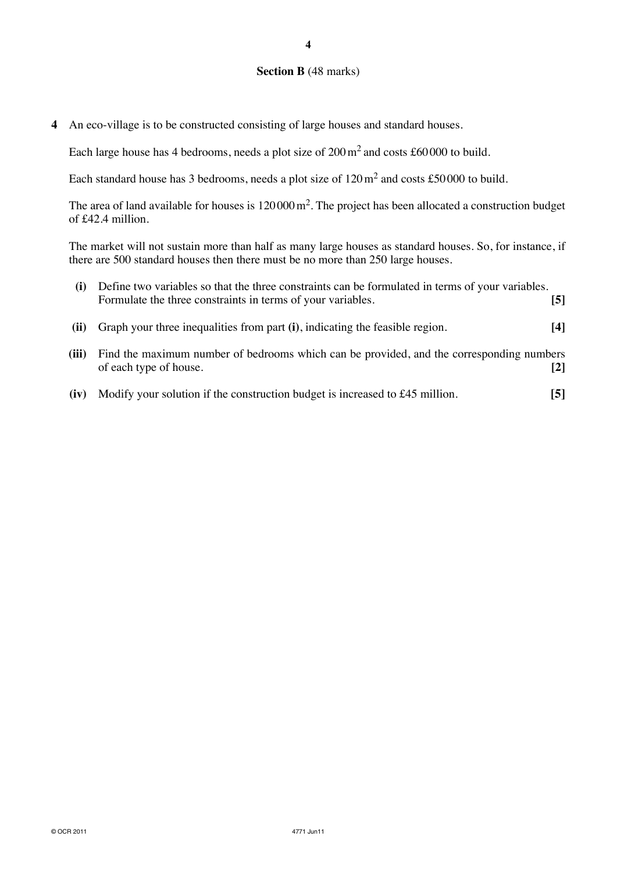### **Section B** (48 marks)

**4** An eco-village is to be constructed consisting of large houses and standard houses.

Each large house has 4 bedrooms, needs a plot size of  $200 \,\mathrm{m}^2$  and costs £60000 to build.

Each standard house has 3 bedrooms, needs a plot size of  $120 \text{ m}^2$  and costs £50000 to build.

The area of land available for houses is  $120000 \,\mathrm{m}^2$ . The project has been allocated a construction budget of £42.4 million.

The market will not sustain more than half as many large houses as standard houses. So, for instance, if there are 500 standard houses then there must be no more than 250 large houses.

| (i) | Define two variables so that the three constraints can be formulated in terms of your variables.<br>Formulate the three constraints in terms of your variables. | [5] |
|-----|-----------------------------------------------------------------------------------------------------------------------------------------------------------------|-----|
|     | Graph your three inequalities from part (i), indicating the feasible region.                                                                                    | [4] |

- **(iii)** Find the maximum number of bedrooms which can be provided, and the corresponding numbers of each type of house. **[2]**
- **(iv)** Modify your solution if the construction budget is increased to £45 million. **[5]**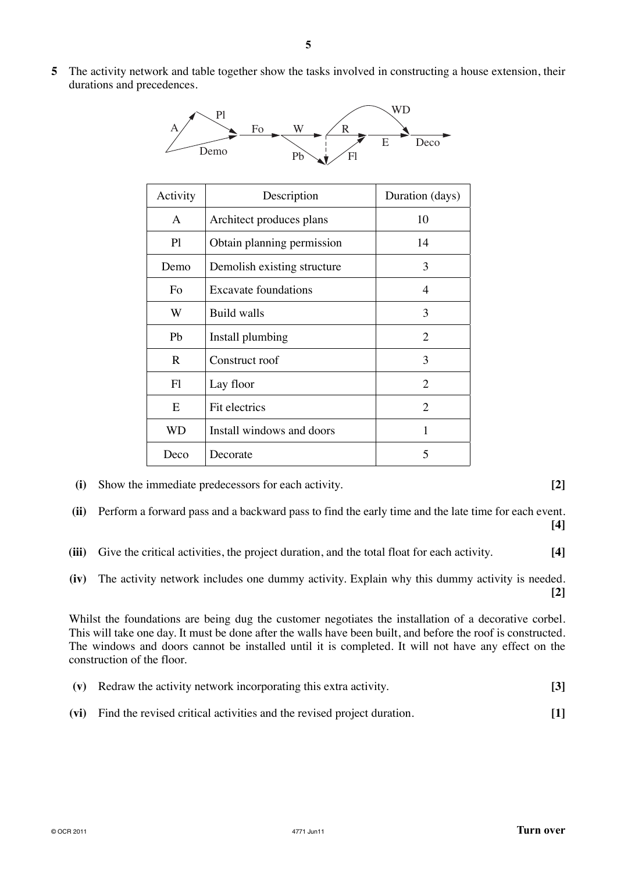**5**



| Activity       | Description                 | Duration (days) |
|----------------|-----------------------------|-----------------|
| A              | Architect produces plans    | 10              |
| P1             | Obtain planning permission  | 14              |
| Demo           | Demolish existing structure | 3               |
| F <sub>O</sub> | Excavate foundations        | 4               |
| W              | <b>Build walls</b>          | 3               |
| Pb             | Install plumbing            | 2               |
| $\mathbf R$    | Construct roof              | 3               |
| F1             | Lay floor                   | 2               |
| E              | Fit electrics               | 2               |
| WD             | Install windows and doors   | $\mathbf{1}$    |
| Deco           | Decorate                    | 5               |

 **<sup>(</sup>i)** Show the immediate predecessors for each activity. **[2]**

**[4]**

 **(iii)** Give the critical activities, the project duration, and the total float for each activity. **[4]**

 **(iv)** The activity network includes one dummy activity. Explain why this dummy activity is needed. **[2]**

Whilst the foundations are being dug the customer negotiates the installation of a decorative corbel. This will take one day. It must be done after the walls have been built, and before the roof is constructed. The windows and doors cannot be installed until it is completed. It will not have any effect on the construction of the floor.

|  | (v) Redraw the activity network incorporating this extra activity. | $\lceil 3 \rceil$ |
|--|--------------------------------------------------------------------|-------------------|
|--|--------------------------------------------------------------------|-------------------|

 **(vi)** Find the revised critical activities and the revised project duration. **[1]**

 **<sup>(</sup>ii)** Perform a forward pass and a backward pass to find the early time and the late time for each event.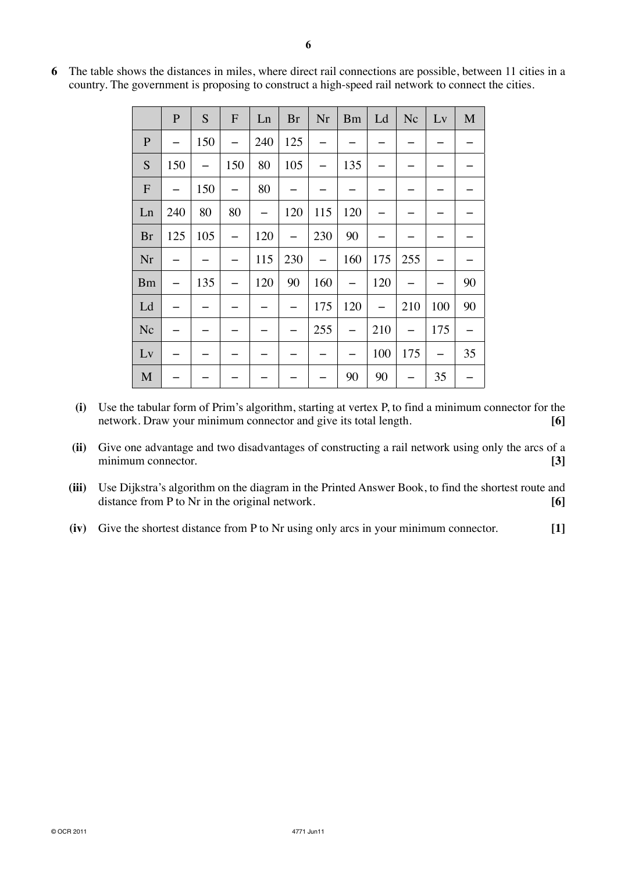|              | $\mathbf{P}$ | S   | $\mathbf{F}$ | Ln  | <b>Br</b> | Nr  | <b>Bm</b> | Ld  | Nc  | Lv                       | M  |
|--------------|--------------|-----|--------------|-----|-----------|-----|-----------|-----|-----|--------------------------|----|
| $\mathbf{P}$ |              | 150 |              | 240 | 125       |     |           |     |     |                          |    |
| S            | 150          |     | 150          | 80  | 105       |     | 135       |     |     |                          |    |
| $\mathbf{F}$ |              | 150 |              | 80  |           |     |           |     |     |                          |    |
| Ln           | 240          | 80  | 80           |     | 120       | 115 | 120       |     |     |                          |    |
| <b>Br</b>    | 125          | 105 |              | 120 |           | 230 | 90        |     |     |                          |    |
| Nr           |              |     |              | 115 | 230       |     | 160       | 175 | 255 |                          |    |
| <b>Bm</b>    |              | 135 |              | 120 | 90        | 160 |           | 120 |     |                          | 90 |
| Ld           |              |     |              |     |           | 175 | 120       |     | 210 | 100                      | 90 |
| Nc           |              |     |              |     |           | 255 |           | 210 |     | 175                      |    |
| Lv           |              |     |              |     |           |     |           | 100 | 175 | $\overline{\phantom{0}}$ | 35 |
| M            |              |     |              |     |           |     | 90        | 90  |     | 35                       |    |

**6** The table shows the distances in miles, where direct rail connections are possible, between 11 cities in a country. The government is proposing to construct a high-speed rail network to connect the cities.

- **(i)** Use the tabular form of Prim's algorithm, starting at vertex P, to find a minimum connector for the network. Draw your minimum connector and give its total length. **[6]**
- **(ii)** Give one advantage and two disadvantages of constructing a rail network using only the arcs of a minimum connector. **[3]**
- **(iii)** Use Dijkstra's algorithm on the diagram in the Printed Answer Book, to find the shortest route and distance from P to Nr in the original network. **[6]**
- **(iv)** Give the shortest distance from P to Nr using only arcs in your minimum connector. **[1]**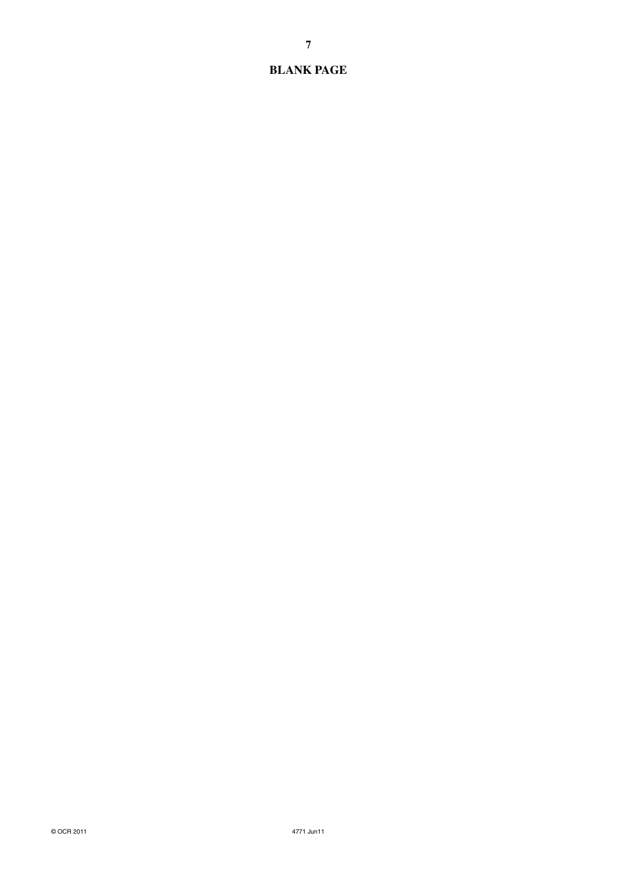# **BLANK PAGE**